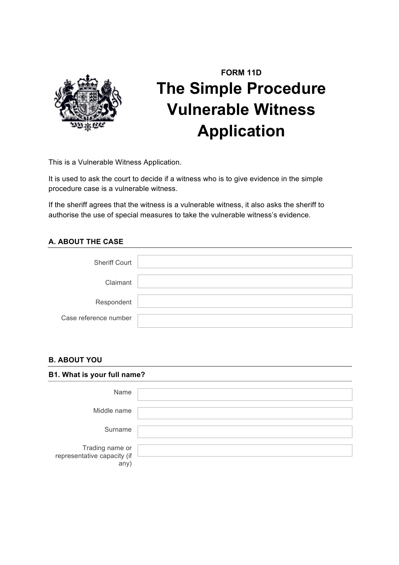

# **FORM 11D The Simple Procedure Vulnerable Witness Application**

This is a Vulnerable Witness Application.

It is used to ask the court to decide if a witness who is to give evidence in the simple procedure case is a vulnerable witness.

If the sheriff agrees that the witness is a vulnerable witness, it also asks the sheriff to authorise the use of special measures to take the vulnerable witness's evidence.

# **A. ABOUT THE CASE**

| <b>Sheriff Court</b>  |  |
|-----------------------|--|
|                       |  |
| Claimant              |  |
|                       |  |
| Respondent            |  |
|                       |  |
| Case reference number |  |
|                       |  |

#### **B. ABOUT YOU**

| B1. What is your full name?                            |  |
|--------------------------------------------------------|--|
| Name                                                   |  |
| Middle name                                            |  |
| Surname                                                |  |
| Trading name or<br>representative capacity (if<br>any) |  |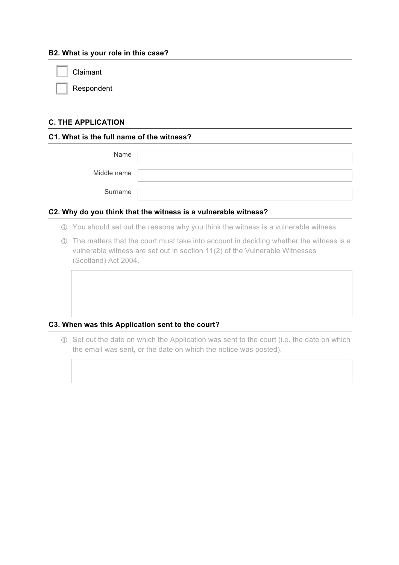#### **B2. What is your role in this case?**

Claimant

Respondent

## **C. THE APPLICATION**

#### **C1. What is the full name of the witness?**

| Name        |  |
|-------------|--|
| Middle name |  |
| Surname     |  |

#### **C2. Why do you think that the witness is a vulnerable witness?**

- ! You should set out the reasons why you think the witness is a vulnerable witness.
- ! The matters that the court must take into account in deciding whether the witness is a vulnerable witness are set out in section 11(2) of the Vulnerable Witnesses (Scotland) Act 2004.

#### **C3. When was this Application sent to the court?**

! Set out the date on which the Application was sent to the court (i.e. the date on which the email was sent, or the date on which the notice was posted).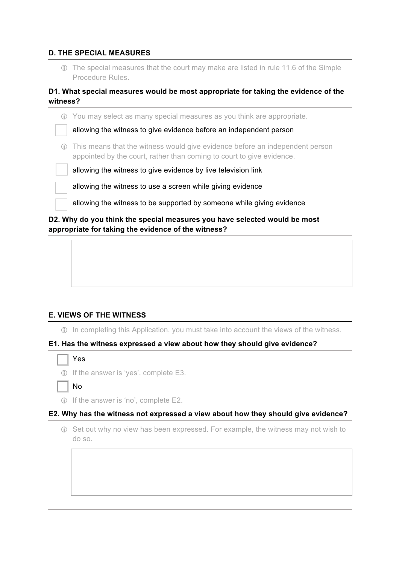#### **D. THE SPECIAL MEASURES**

! The special measures that the court may make are listed in rule 11.6 of the Simple Procedure Rules.

### **D1. What special measures would be most appropriate for taking the evidence of the witness?**

| allowing the witness to give evidence by live television link             |
|---------------------------------------------------------------------------|
| allowing the witness to use a screen while giving evidence                |
|                                                                           |
| allowing the witness to be supported by someone while giving evidence     |
| D2. Why do you think the special measures you have selected would be most |
|                                                                           |

# **appropriate for taking the evidence of the witness?**

#### **E. VIEWS OF THE WITNESS**

! In completing this Application, you must take into account the views of the witness.

#### **E1. Has the witness expressed a view about how they should give evidence?**

| ٩ |
|---|
|---|

! If the answer is 'yes', complete E3.

o No

! If the answer is 'no', complete E2.

#### **E2. Why has the witness not expressed a view about how they should give evidence?**

! Set out why no view has been expressed. For example, the witness may not wish to do so.